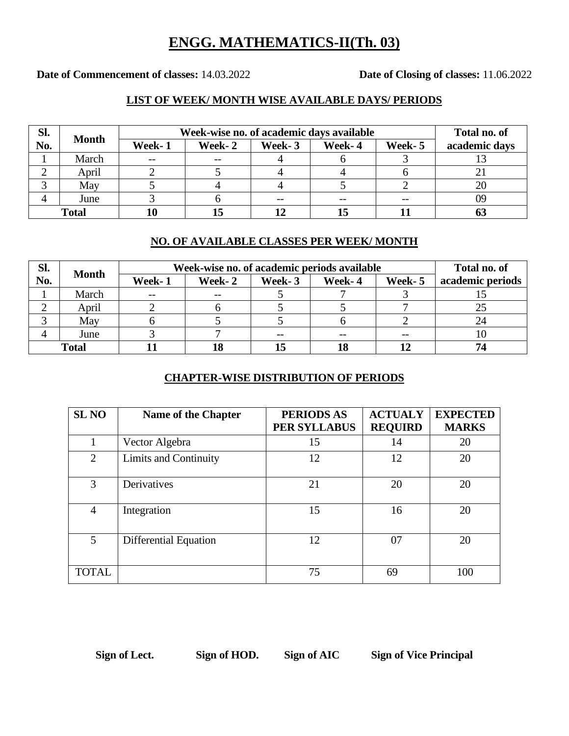## **ENGG. MATHEMATICS-II(Th. 03)**

**Date of Commencement of classes:** 14.03.2022 **Date of Closing of classes:** 11.06.2022

### **LIST OF WEEK/ MONTH WISE AVAILABLE DAYS/ PERIODS**

| Sl.          |              | Week-wise no. of academic days available | Total no. of |        |        |        |               |
|--------------|--------------|------------------------------------------|--------------|--------|--------|--------|---------------|
| No.          | <b>Month</b> | Week-1                                   | Week-2       | Week-3 | Week-4 | Week-5 | academic days |
|              | March        | $- -$                                    | $- -$        |        |        |        |               |
|              | April        |                                          |              |        |        |        |               |
|              | May          |                                          |              |        |        |        |               |
|              | June         |                                          |              |        |        | $- -$  | 09            |
| <b>Total</b> |              |                                          | 15           |        |        |        |               |

#### **NO. OF AVAILABLE CLASSES PER WEEK/ MONTH**

| Sl.          | <b>Month</b> | Week-wise no. of academic periods available | Total no. of |        |        |         |                  |
|--------------|--------------|---------------------------------------------|--------------|--------|--------|---------|------------------|
| No.          |              | Week-1                                      | Week-2       | Week-3 | Week-4 | Week- 5 | academic periods |
|              | March        | $- -$                                       | $- -$        |        |        |         |                  |
|              | April        |                                             |              |        |        |         |                  |
|              | May          |                                             |              |        |        |         |                  |
|              | June         |                                             |              |        |        |         | 10               |
| <b>Total</b> |              |                                             |              |        |        |         |                  |

#### **CHAPTER-WISE DISTRIBUTION OF PERIODS**

| <b>SL NO</b>   | <b>Name of the Chapter</b>   | <b>PERIODS AS</b><br><b>PER SYLLABUS</b> | <b>ACTUALY</b><br><b>REQUIRD</b> | <b>EXPECTED</b><br><b>MARKS</b> |
|----------------|------------------------------|------------------------------------------|----------------------------------|---------------------------------|
|                | Vector Algebra               | 15                                       | 14                               | 20                              |
| $\overline{2}$ | Limits and Continuity        | 12                                       | 12                               | 20                              |
| 3              | Derivatives                  | 21                                       | 20                               | 20                              |
| $\overline{4}$ | Integration                  | 15                                       | 16                               | 20                              |
| 5              | <b>Differential Equation</b> | 12                                       | 07                               | 20                              |
| <b>TOTAL</b>   |                              | 75                                       | 69                               | 100                             |

**Sign of Lect. Sign of HOD. Sign of AIC Sign of Vice Principal**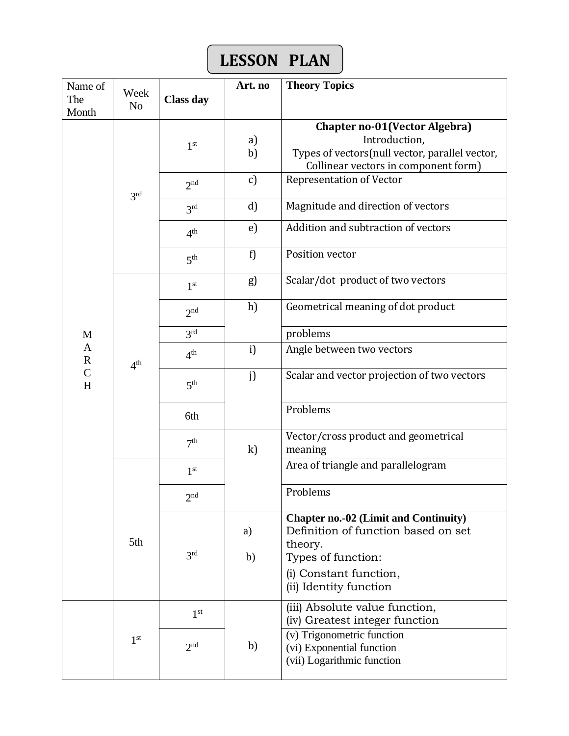# **LESSON PLAN**

| Name of                     | Week            |                                    | Art. no      | <b>Theory Topics</b>                                                                                                                                                     |
|-----------------------------|-----------------|------------------------------------|--------------|--------------------------------------------------------------------------------------------------------------------------------------------------------------------------|
| The<br>Month                | N <sub>o</sub>  | <b>Class day</b>                   |              |                                                                                                                                                                          |
|                             |                 | 1 <sup>st</sup>                    | a)<br>b)     | Chapter no-01(Vector Algebra)<br>Introduction,<br>Types of vectors(null vector, parallel vector,<br>Collinear vectors in component form)                                 |
|                             |                 | 2 <sub>nd</sub>                    | c)           | <b>Representation of Vector</b>                                                                                                                                          |
|                             | 3 <sup>rd</sup> | 3 <sup>rd</sup>                    | d)           | Magnitude and direction of vectors                                                                                                                                       |
|                             |                 | 4 <sup>th</sup>                    | e)           | Addition and subtraction of vectors                                                                                                                                      |
|                             |                 | 5 <sup>th</sup>                    | f)           | Position vector                                                                                                                                                          |
|                             |                 | 1 <sup>st</sup>                    | g)           | Scalar/dot product of two vectors                                                                                                                                        |
|                             |                 | 2 <sup>nd</sup>                    | h)           | Geometrical meaning of dot product                                                                                                                                       |
| M                           | 4 <sup>th</sup> | 3 <sup>rd</sup>                    |              | problems                                                                                                                                                                 |
| $\mathbf{A}$<br>$\mathbf R$ |                 | 4 <sup>th</sup>                    | i)           | Angle between two vectors                                                                                                                                                |
| $\mathcal{C}$<br>H          |                 | 5 <sup>th</sup>                    | j)           | Scalar and vector projection of two vectors                                                                                                                              |
|                             |                 | 6th                                |              | Problems                                                                                                                                                                 |
|                             |                 | 7 <sup>th</sup>                    | $\mathbf{k}$ | Vector/cross product and geometrical<br>meaning                                                                                                                          |
|                             |                 | 1 <sup>st</sup>                    |              | Area of triangle and parallelogram                                                                                                                                       |
|                             | 5th             | 2 <sub>nd</sub>                    |              | Problems                                                                                                                                                                 |
|                             |                 | 3 <sup>rd</sup>                    | a)<br>b)     | <b>Chapter no.-02 (Limit and Continuity)</b><br>Definition of function based on set<br>theory.<br>Types of function:<br>(i) Constant function,<br>(ii) Identity function |
|                             | 1 <sup>st</sup> | 1 <sup>st</sup><br>2 <sub>nd</sub> | b)           | (iii) Absolute value function,<br>(iv) Greatest integer function<br>(v) Trigonometric function<br>(vi) Exponential function<br>(vii) Logarithmic function                |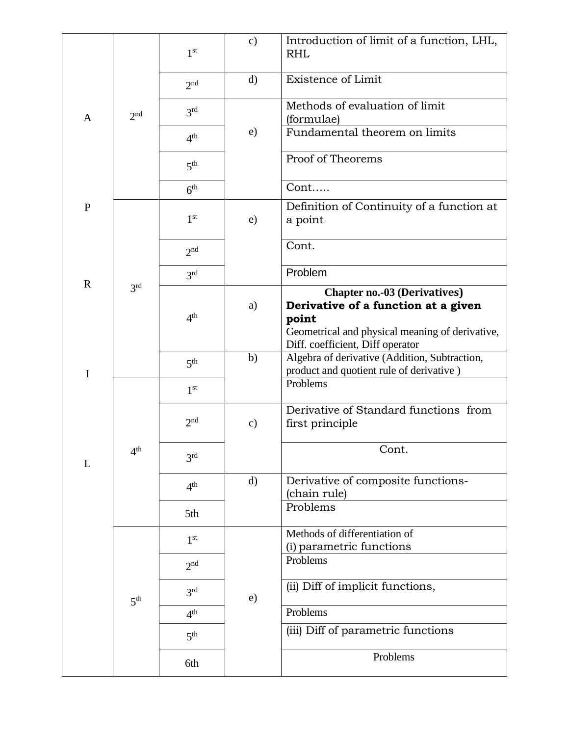|              |                 | 1 <sup>st</sup> | $\mathbf{c})$ | Introduction of limit of a function, LHL,<br><b>RHL</b>                                                                                                                    |
|--------------|-----------------|-----------------|---------------|----------------------------------------------------------------------------------------------------------------------------------------------------------------------------|
|              |                 | 2 <sup>nd</sup> | $\mathbf{d}$  | Existence of Limit                                                                                                                                                         |
| A            | 2 <sub>nd</sub> | 3 <sup>rd</sup> |               | Methods of evaluation of limit<br>(formulae)                                                                                                                               |
|              |                 | 4 <sup>th</sup> | e)            | Fundamental theorem on limits                                                                                                                                              |
|              |                 | 5 <sup>th</sup> |               | Proof of Theorems                                                                                                                                                          |
|              |                 | 6 <sup>th</sup> |               | Cont                                                                                                                                                                       |
| $\mathbf P$  |                 | 1 <sup>st</sup> | e)            | Definition of Continuity of a function at<br>a point                                                                                                                       |
|              |                 | 2 <sup>nd</sup> |               | Cont.                                                                                                                                                                      |
| $\mathbb{R}$ |                 | 3 <sup>rd</sup> |               | Problem                                                                                                                                                                    |
|              | 3 <sup>rd</sup> | 4 <sup>th</sup> | a)            | <b>Chapter no.-03 (Derivatives)</b><br>Derivative of a function at a given<br>point<br>Geometrical and physical meaning of derivative,<br>Diff. coefficient, Diff operator |
| $\mathbf I$  |                 | 5 <sup>th</sup> | b)            | Algebra of derivative (Addition, Subtraction,<br>product and quotient rule of derivative)                                                                                  |
|              |                 | 1 <sup>st</sup> |               | Problems                                                                                                                                                                   |
|              |                 | 2 <sup>nd</sup> | $\mathbf{c})$ | Derivative of Standard functions from<br>first principle                                                                                                                   |
| L            | 4 <sup>th</sup> | 3 <sup>rd</sup> |               | Cont.                                                                                                                                                                      |
|              |                 | 4 <sup>th</sup> | $\mathbf{d}$  | Derivative of composite functions-<br>(chain rule)                                                                                                                         |
|              |                 | 5th             |               | Problems                                                                                                                                                                   |
|              |                 | 1 <sup>st</sup> |               | Methods of differentiation of<br>(i) parametric functions                                                                                                                  |
|              |                 | 2 <sup>nd</sup> |               | Problems                                                                                                                                                                   |
|              | 5 <sup>th</sup> | 3 <sup>rd</sup> | e)            | (ii) Diff of implicit functions,                                                                                                                                           |
|              |                 | 4 <sup>th</sup> |               | Problems                                                                                                                                                                   |
|              |                 | 5 <sup>th</sup> |               | (iii) Diff of parametric functions                                                                                                                                         |
|              |                 | 6th             |               | Problems                                                                                                                                                                   |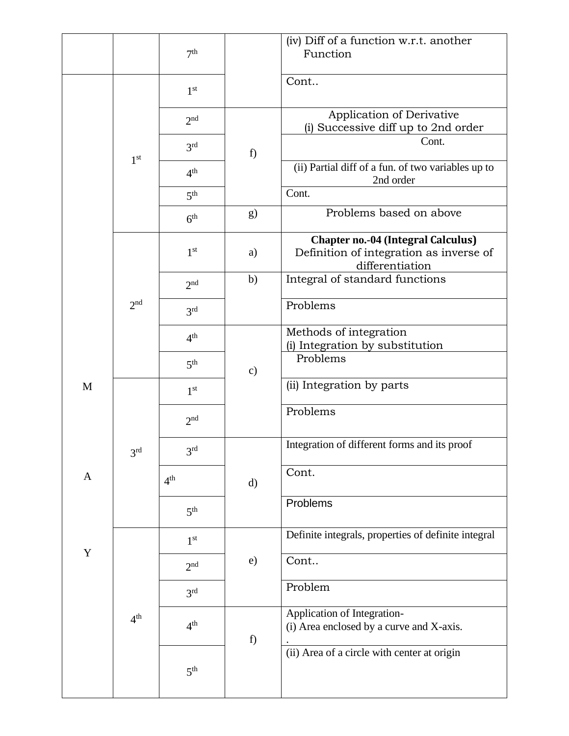|             |                 | 7 <sup>th</sup> |               | (iv) Diff of a function w.r.t. another<br>Function                                                      |
|-------------|-----------------|-----------------|---------------|---------------------------------------------------------------------------------------------------------|
|             |                 | 1 <sup>st</sup> |               | Cont                                                                                                    |
|             |                 | 2 <sub>nd</sub> |               | Application of Derivative<br>(i) Successive diff up to 2nd order                                        |
|             | 1 <sup>st</sup> | 3 <sup>rd</sup> | f)            | Cont.                                                                                                   |
|             |                 | 4 <sup>th</sup> |               | (ii) Partial diff of a fun. of two variables up to<br>2nd order                                         |
|             |                 | 5 <sup>th</sup> |               | Cont.                                                                                                   |
|             |                 | 6 <sup>th</sup> | g)            | Problems based on above                                                                                 |
|             |                 | 1 <sup>st</sup> | a)            | <b>Chapter no.-04 (Integral Calculus)</b><br>Definition of integration as inverse of<br>differentiation |
|             |                 | 2 <sup>nd</sup> | b)            | Integral of standard functions                                                                          |
|             | 2 <sup>nd</sup> | 3 <sup>rd</sup> |               | Problems                                                                                                |
|             |                 | 4 <sup>th</sup> |               | Methods of integration<br>(i) Integration by substitution                                               |
|             |                 | 5 <sup>th</sup> | $\mathbf{c})$ | Problems                                                                                                |
| M           |                 | 1 <sup>st</sup> |               | (ii) Integration by parts                                                                               |
|             |                 | 2 <sup>nd</sup> |               | Problems                                                                                                |
|             | $3^{\rm rd}$    | 3 <sup>rd</sup> |               | Integration of different forms and its proof                                                            |
| A           |                 | 4 <sup>th</sup> | $\mathbf{d}$  | Cont.                                                                                                   |
|             |                 | 5 <sup>th</sup> |               | Problems                                                                                                |
|             |                 | 1 <sup>st</sup> |               | Definite integrals, properties of definite integral                                                     |
| $\mathbf Y$ |                 | 2 <sub>nd</sub> | e)            | Cont                                                                                                    |
|             |                 | 3 <sup>rd</sup> |               | Problem                                                                                                 |
|             | 4 <sup>th</sup> | 4 <sup>th</sup> | f)            | Application of Integration-<br>(i) Area enclosed by a curve and X-axis.                                 |
|             |                 | 5 <sup>th</sup> |               | (ii) Area of a circle with center at origin                                                             |